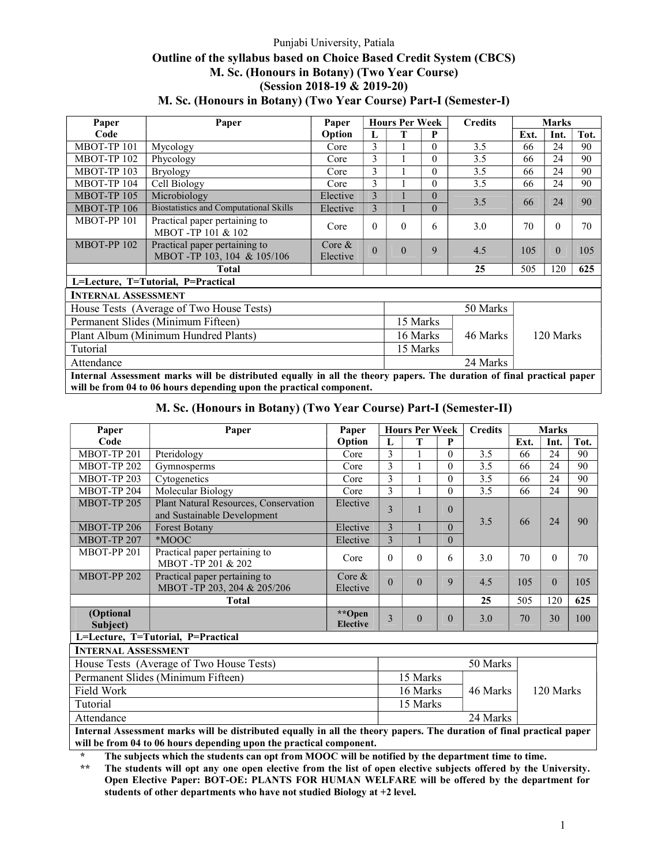# Punjabi University, Patiala Outline of the syllabus based on Choice Based Credit System (CBCS) M. Sc. (Honours in Botany) (Two Year Course) (Session 2018-19 & 2019-20) M. Sc. (Honours in Botany) (Two Year Course) Part-I (Semester-I)

| Paper                      | Paper                                                                                                                                                                                        | Paper                 |          | <b>Hours Per Week</b> |          | <b>Credits</b> |      | <b>Marks</b> |      |
|----------------------------|----------------------------------------------------------------------------------------------------------------------------------------------------------------------------------------------|-----------------------|----------|-----------------------|----------|----------------|------|--------------|------|
| Code                       |                                                                                                                                                                                              | Option                | L        | т                     | P        |                | Ext. | Int.         | Tot. |
| MBOT-TP 101                | Mycology                                                                                                                                                                                     | Core                  | 3        |                       | $\theta$ | 3.5            | 66   | 24           | 90   |
| MBOT-TP 102                | Phycology                                                                                                                                                                                    | Core                  | 3        |                       | $\theta$ | 3.5            | 66   | 24           | 90   |
| MBOT-TP 103                | <b>Bryology</b>                                                                                                                                                                              | Core                  | 3        |                       | $\theta$ | 3.5            | 66   | 24           | 90   |
| MBOT-TP 104                | Cell Biology                                                                                                                                                                                 | Core                  | 3        |                       | $\Omega$ | 3.5            | 66   | 24           | 90   |
| MBOT-TP 105                | Microbiology                                                                                                                                                                                 | Elective              | 3        |                       | $\Omega$ | 3.5            | 66   | 24           | 90   |
| MBOT-TP 106                | <b>Biostatistics and Computational Skills</b>                                                                                                                                                | Elective              | 3        |                       | $\Omega$ |                |      |              |      |
| MBOT-PP 101                | Practical paper pertaining to<br>MBOT-TP 101 & 102                                                                                                                                           | Core                  | $\Omega$ | $\Omega$              | 6        | 3.0            | 70   | $\Omega$     | 70   |
| MBOT-PP 102                | Practical paper pertaining to<br>MBOT-TP 103, 104 & 105/106                                                                                                                                  | Core $\&$<br>Elective | $\Omega$ | $\theta$              | 9        | 4.5            | 105  | $\theta$     | 105  |
|                            | <b>Total</b>                                                                                                                                                                                 |                       |          |                       |          | 25             | 505  | 120          | 625  |
|                            | L=Lecture, T=Tutorial, P=Practical                                                                                                                                                           |                       |          |                       |          |                |      |              |      |
| <b>INTERNAL ASSESSMENT</b> |                                                                                                                                                                                              |                       |          |                       |          |                |      |              |      |
|                            | House Tests (Average of Two House Tests)                                                                                                                                                     |                       |          |                       |          | 50 Marks       |      |              |      |
|                            | Permanent Slides (Minimum Fifteen)                                                                                                                                                           |                       |          |                       | 15 Marks |                |      |              |      |
|                            | Plant Album (Minimum Hundred Plants)                                                                                                                                                         |                       |          |                       | 16 Marks | 46 Marks       |      | 120 Marks    |      |
| Tutorial                   |                                                                                                                                                                                              |                       | 15 Marks |                       |          |                |      |              |      |
| Attendance                 |                                                                                                                                                                                              |                       |          |                       |          | 24 Marks       |      |              |      |
|                            |                                                                                                                                                                                              |                       |          |                       |          |                |      |              |      |
|                            | Internal Assessment marks will be distributed equally in all the theory papers. The duration of final practical paper<br>will be from 04 to 06 hours depending upon the practical component. |                       |          |                       |          |                |      |              |      |

|  |  |  |  | M. Sc. (Honours in Botany) (Two Year Course) Part-I (Semester-II) |  |
|--|--|--|--|-------------------------------------------------------------------|--|
|  |  |  |  |                                                                   |  |

| Paper                      | Paper                                                                                                                 | Paper                     |              | <b>Hours Per Week</b> |          | <b>Credits</b> |           | <b>Marks</b> |      |
|----------------------------|-----------------------------------------------------------------------------------------------------------------------|---------------------------|--------------|-----------------------|----------|----------------|-----------|--------------|------|
| Code                       |                                                                                                                       | Option                    | $\mathbf{L}$ | т                     | P        |                | Ext.      | Int.         | Tot. |
| MBOT-TP 201                | Pteridology                                                                                                           | Core                      | 3            |                       | $\theta$ | 3.5            | 66        | 24           | 90   |
| MBOT-TP 202                | Gymnosperms                                                                                                           | Core                      | 3            |                       | $\Omega$ | 3.5            | 66        | 24           | 90   |
| MBOT-TP 203                | Cytogenetics                                                                                                          | Core                      | 3            | 1                     | $\theta$ | 3.5            | 66        | 24           | 90   |
| MBOT-TP 204                | Molecular Biology                                                                                                     | Core                      | 3            | 1                     | $\theta$ | 3.5            | 66        | 24           | 90   |
| MBOT-TP 205                | Plant Natural Resources, Conservation<br>and Sustainable Development                                                  | Elective                  | $\mathbf{3}$ | 1                     | $\theta$ |                |           | 24           | 90   |
| MBOT-TP 206                | <b>Forest Botany</b>                                                                                                  | Elective                  | 3            |                       | $\Omega$ | 3.5            | 66        |              |      |
| MBOT-TP 207                | *MOOC                                                                                                                 | Elective                  | 3            |                       | $\theta$ |                |           |              |      |
| MBOT-PP 201                | Practical paper pertaining to<br>MBOT-TP 201 & 202                                                                    | Core                      | $\Omega$     | $\Omega$              | 6        | 3.0            | 70        | $\Omega$     | 70   |
| <b>MBOT-PP 202</b>         | Practical paper pertaining to<br>MBOT-TP 203, 204 & 205/206                                                           | Core $\&$<br>Elective     | $\Omega$     | $\theta$              | 9        | 4.5            | 105       | $\Omega$     | 105  |
|                            | Total                                                                                                                 |                           |              |                       |          | 25             | 505       | 120          | 625  |
| (Optional<br>Subject)      |                                                                                                                       | **Open<br><b>Elective</b> | 3            | $\theta$              | $\Omega$ | 3.0            | 70        | 30           | 100  |
|                            | L=Lecture, T=Tutorial, P=Practical                                                                                    |                           |              |                       |          |                |           |              |      |
| <b>INTERNAL ASSESSMENT</b> |                                                                                                                       |                           |              |                       |          |                |           |              |      |
|                            | House Tests (Average of Two House Tests)                                                                              |                           |              |                       |          | 50 Marks       |           |              |      |
|                            | Permanent Slides (Minimum Fifteen)                                                                                    |                           |              | 15 Marks              |          |                |           |              |      |
| Field Work                 |                                                                                                                       |                           |              | 16 Marks              |          | 46 Marks       | 120 Marks |              |      |
| Tutorial                   |                                                                                                                       |                           |              | 15 Marks              |          |                |           |              |      |
| Attendance                 |                                                                                                                       |                           |              |                       |          | 24 Marks       |           |              |      |
|                            | Internal Assessment marks will be distributed equally in all the theory naners. The duration of final practical naner |                           |              |                       |          |                |           |              |      |

Internal Assessment marks will be distributed equally in all the theory papers. The duration of final practical paper will be from 04 to 06 hours depending upon the practical component.

\* The subjects which the students can opt from MOOC will be notified by the department time to time.<br>\*\* The students will ont any one open elective from the list of open elective subjects offered by the U

The students will opt any one open elective from the list of open elective subjects offered by the University. Open Elective Paper: BOT-OE: PLANTS FOR HUMAN WELFARE will be offered by the department for students of other departments who have not studied Biology at +2 level.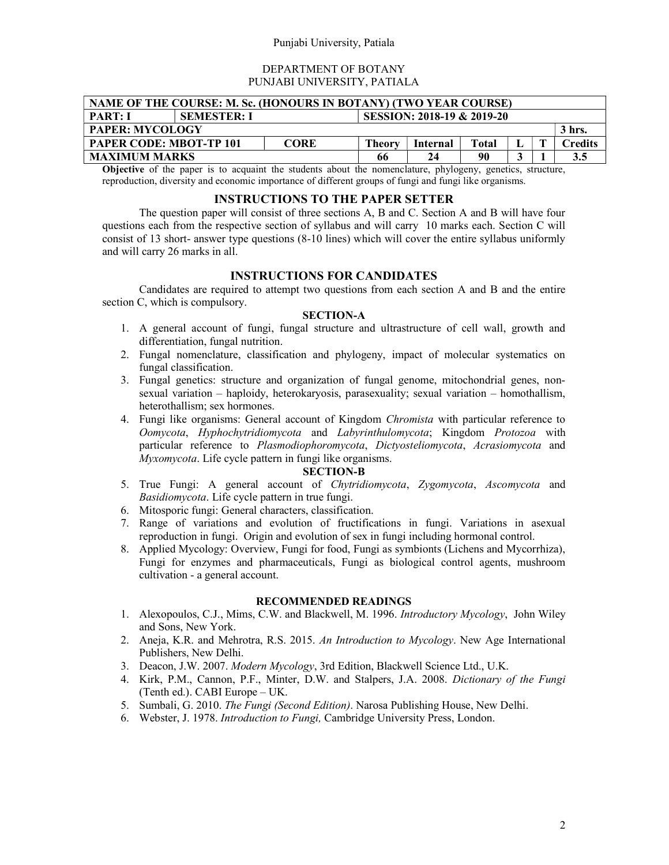### Punjabi University, Patiala

### DEPARTMENT OF BOTANY PUNJABI UNIVERSITY, PATIALA

| NAME OF THE COURSE: M. Sc. (HONOURS IN BOTANY) (TWO YEAR COURSE)                                     |  |  |  |  |  |  |  |     |  |
|------------------------------------------------------------------------------------------------------|--|--|--|--|--|--|--|-----|--|
| SESSION: 2018-19 & 2019-20<br><b>PART: I</b><br><b>SEMESTER: I</b>                                   |  |  |  |  |  |  |  |     |  |
| <b>PAPER: MYCOLOGY</b><br>3 hrs.                                                                     |  |  |  |  |  |  |  |     |  |
| <b>PAPER CODE: MBOT-TP 101</b><br><b>CORE</b><br>Theory<br>Total<br>Internal<br><b>Credits</b><br>п. |  |  |  |  |  |  |  |     |  |
| <b>MAXIMUM MARKS</b><br>90<br>24<br>66                                                               |  |  |  |  |  |  |  | 3.5 |  |

Objective of the paper is to acquaint the students about the nomenclature, phylogeny, genetics, structure, reproduction, diversity and economic importance of different groups of fungi and fungi like organisms.

## INSTRUCTIONS TO THE PAPER SETTER

 The question paper will consist of three sections A, B and C. Section A and B will have four questions each from the respective section of syllabus and will carry 10 marks each. Section C will consist of 13 short- answer type questions (8-10 lines) which will cover the entire syllabus uniformly and will carry 26 marks in all.

### INSTRUCTIONS FOR CANDIDATES

 Candidates are required to attempt two questions from each section A and B and the entire section C, which is compulsory.

#### SECTION-A

- 1. A general account of fungi, fungal structure and ultrastructure of cell wall, growth and differentiation, fungal nutrition.
- 2. Fungal nomenclature, classification and phylogeny, impact of molecular systematics on fungal classification.
- 3. Fungal genetics: structure and organization of fungal genome, mitochondrial genes, nonsexual variation – haploidy, heterokaryosis, parasexuality; sexual variation – homothallism, heterothallism; sex hormones.
- 4. Fungi like organisms: General account of Kingdom *Chromista* with particular reference to Oomycota, Hyphochytridiomycota and Labyrinthulomycota; Kingdom Protozoa with particular reference to Plasmodiophoromycota, Dictyosteliomycota, Acrasiomycota and Myxomycota. Life cycle pattern in fungi like organisms.

### SECTION-B

- 5. True Fungi: A general account of Chytridiomycota, Zygomycota, Ascomycota and Basidiomycota. Life cycle pattern in true fungi.
- 6. Mitosporic fungi: General characters, classification.
- 7. Range of variations and evolution of fructifications in fungi. Variations in asexual reproduction in fungi. Origin and evolution of sex in fungi including hormonal control.
- 8. Applied Mycology: Overview, Fungi for food, Fungi as symbionts (Lichens and Mycorrhiza), Fungi for enzymes and pharmaceuticals, Fungi as biological control agents, mushroom cultivation - a general account.

- 1. Alexopoulos, C.J., Mims, C.W. and Blackwell, M. 1996. Introductory Mycology, John Wiley and Sons, New York.
- 2. Aneja, K.R. and Mehrotra, R.S. 2015. An Introduction to Mycology. New Age International Publishers, New Delhi.
- 3. Deacon, J.W. 2007. Modern Mycology, 3rd Edition, Blackwell Science Ltd., U.K.
- 4. Kirk, P.M., Cannon, P.F., Minter, D.W. and Stalpers, J.A. 2008. Dictionary of the Fungi (Tenth ed.). CABI Europe – UK.
- 5. Sumbali, G. 2010. The Fungi (Second Edition). Narosa Publishing House, New Delhi.
- 6. Webster, J. 1978. Introduction to Fungi, Cambridge University Press, London.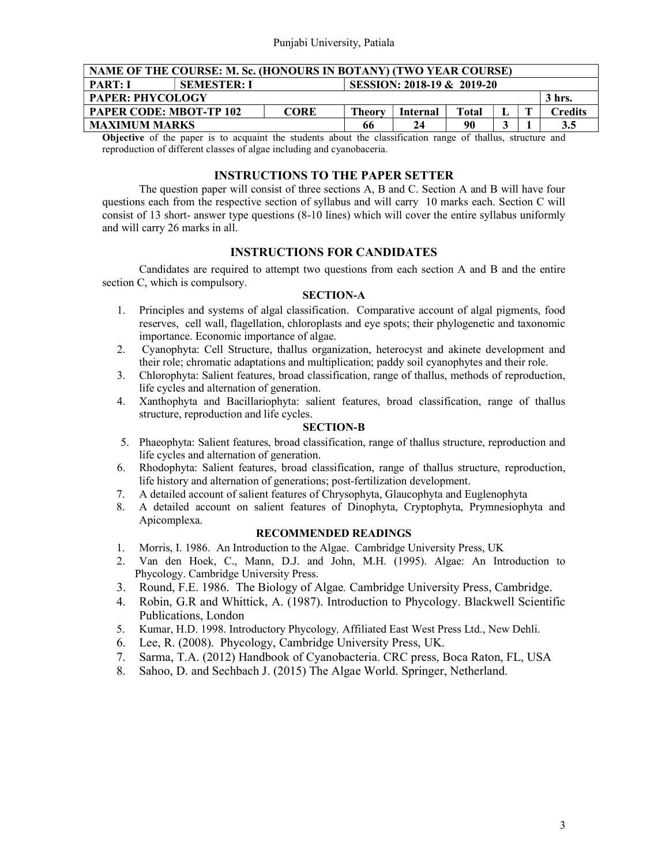| NAME OF THE COURSE: M. Sc. (HONOURS IN BOTANY) (TWO YEAR COURSE)                               |  |  |  |  |  |  |  |  |  |  |
|------------------------------------------------------------------------------------------------|--|--|--|--|--|--|--|--|--|--|
| SESSION: 2018-19 & 2019-20<br><b>PART: I</b><br><b>SEMESTER: I</b>                             |  |  |  |  |  |  |  |  |  |  |
| <b>PAPER: PHYCOLOGY</b><br>3 hrs.                                                              |  |  |  |  |  |  |  |  |  |  |
| <b>PAPER CODE: MBOT-TP 102</b><br><b>CORE</b><br><b>Theory</b><br>Total<br>Credits<br>Internal |  |  |  |  |  |  |  |  |  |  |
| <b>MAXIMUM MARKS</b><br>90<br>24<br>66<br>3.5                                                  |  |  |  |  |  |  |  |  |  |  |
|                                                                                                |  |  |  |  |  |  |  |  |  |  |

Objective of the paper is to acquaint the students about the classification range of thallus, structure and reproduction of different classes of algae including and cyanobaceria.

## INSTRUCTIONS TO THE PAPER SETTER

 The question paper will consist of three sections A, B and C. Section A and B will have four questions each from the respective section of syllabus and will carry 10 marks each. Section C will consist of 13 short- answer type questions (8-10 lines) which will cover the entire syllabus uniformly and will carry 26 marks in all.

## INSTRUCTIONS FOR CANDIDATES

 Candidates are required to attempt two questions from each section A and B and the entire section C, which is compulsory.

#### SECTION-A

- 1. Principles and systems of algal classification. Comparative account of algal pigments, food reserves, cell wall, flagellation, chloroplasts and eye spots; their phylogenetic and taxonomic importance. Economic importance of algae.
- 2. Cyanophyta: Cell Structure, thallus organization, heterocyst and akinete development and their role; chromatic adaptations and multiplication; paddy soil cyanophytes and their role.
- 3. Chlorophyta: Salient features, broad classification, range of thallus, methods of reproduction, life cycles and alternation of generation.
- 4. Xanthophyta and Bacillariophyta: salient features, broad classification, range of thallus structure, reproduction and life cycles.

### SECTION-B

- 5. Phaeophyta: Salient features, broad classification, range of thallus structure, reproduction and life cycles and alternation of generation.
- 6. Rhodophyta: Salient features, broad classification, range of thallus structure, reproduction, life history and alternation of generations; post-fertilization development.
- 7. A detailed account of salient features of Chrysophyta, Glaucophyta and Euglenophyta
- 8. A detailed account on salient features of Dinophyta, Cryptophyta, Prymnesiophyta and Apicomplexa.

- 1. Morris, I. 1986. An Introduction to the Algae. Cambridge University Press, UK
- 2. Van den Hoek, C., Mann, D.J. and John, M.H. (1995). Algae: An Introduction to Phycology. Cambridge University Press.
- 3. Round, F.E. 1986. The Biology of Algae. Cambridge University Press, Cambridge.
- 4. Robin, G.R and Whittick, A. (1987). Introduction to Phycology. Blackwell Scientific Publications, London
- 5. Kumar, H.D. 1998. Introductory Phycology, Affiliated East West Press Ltd., New Dehli.
- 6. Lee, R. (2008). Phycology, Cambridge University Press, UK.
- 7. Sarma, T.A. (2012) Handbook of Cyanobacteria. CRC press, Boca Raton, FL, USA
- 8. Sahoo, D. and Sechbach J. (2015) The Algae World. Springer, Netherland.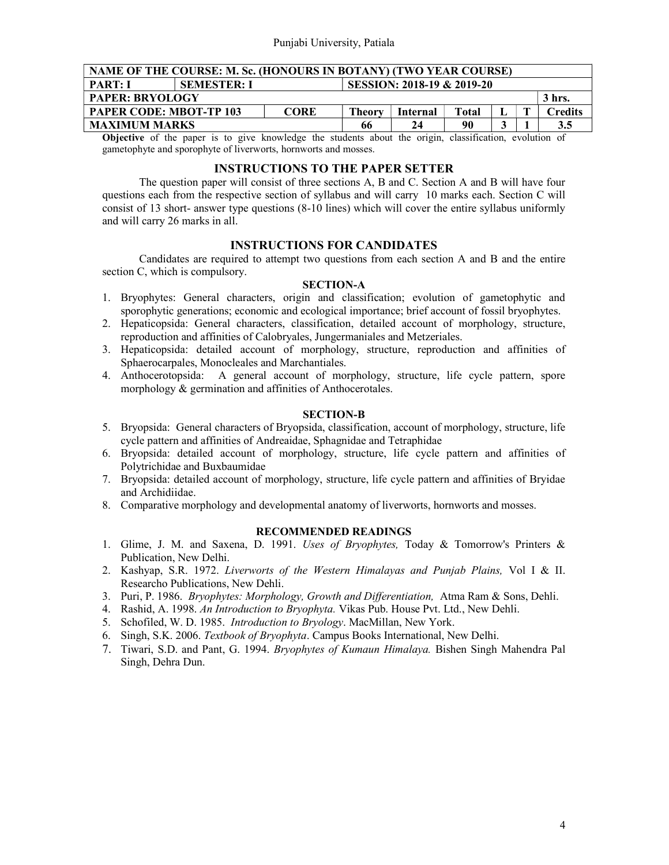| NAME OF THE COURSE: M. Sc. (HONOURS IN BOTANY) (TWO YEAR COURSE)                                        |  |             |        |          |       |  |  |         |  |  |
|---------------------------------------------------------------------------------------------------------|--|-------------|--------|----------|-------|--|--|---------|--|--|
| SESSION: 2018-19 & 2019-20<br><b>PART: I</b><br><b>SEMESTER: I</b>                                      |  |             |        |          |       |  |  |         |  |  |
| <b>PAPER: BRYOLOGY</b><br>3 hrs.                                                                        |  |             |        |          |       |  |  |         |  |  |
| <b>PAPER CODE: MBOT-TP 103</b>                                                                          |  | <b>CORE</b> | Theory | Internal | Total |  |  | Credits |  |  |
| <b>MAXIMUM MARKS</b><br>90<br>66<br>24                                                                  |  |             |        |          |       |  |  | 3.5     |  |  |
| Okiaative of the women is to give busydedge the students chout the suicing classification, avalution of |  |             |        |          |       |  |  |         |  |  |

Objective of the paper is to give knowledge the students about the origin, classification, evolution of gametophyte and sporophyte of liverworts, hornworts and mosses.

## INSTRUCTIONS TO THE PAPER SETTER

 The question paper will consist of three sections A, B and C. Section A and B will have four questions each from the respective section of syllabus and will carry 10 marks each. Section C will consist of 13 short- answer type questions (8-10 lines) which will cover the entire syllabus uniformly and will carry 26 marks in all.

### INSTRUCTIONS FOR CANDIDATES

 Candidates are required to attempt two questions from each section A and B and the entire section C, which is compulsory.

### SECTION-A

- 1. Bryophytes: General characters, origin and classification; evolution of gametophytic and sporophytic generations; economic and ecological importance; brief account of fossil bryophytes.
- 2. Hepaticopsida: General characters, classification, detailed account of morphology, structure, reproduction and affinities of Calobryales, Jungermaniales and Metzeriales.
- 3. Hepaticopsida: detailed account of morphology, structure, reproduction and affinities of Sphaerocarpales, Monocleales and Marchantiales.
- 4. Anthocerotopsida: A general account of morphology, structure, life cycle pattern, spore morphology & germination and affinities of Anthocerotales.

#### SECTION-B

- 5. Bryopsida: General characters of Bryopsida, classification, account of morphology, structure, life cycle pattern and affinities of Andreaidae, Sphagnidae and Tetraphidae
- 6. Bryopsida: detailed account of morphology, structure, life cycle pattern and affinities of Polytrichidae and Buxbaumidae
- 7. Bryopsida: detailed account of morphology, structure, life cycle pattern and affinities of Bryidae and Archidiidae.
- 8. Comparative morphology and developmental anatomy of liverworts, hornworts and mosses.

- 1. Glime, J. M. and Saxena, D. 1991. Uses of Bryophytes, Today & Tomorrow's Printers & Publication, New Delhi.
- 2. Kashyap, S.R. 1972. Liverworts of the Western Himalayas and Punjab Plains, Vol I & II. Researcho Publications, New Dehli.
- 3. Puri, P. 1986. Bryophytes: Morphology, Growth and Differentiation, Atma Ram & Sons, Dehli.
- 4. Rashid, A. 1998. An Introduction to Bryophyta. Vikas Pub. House Pvt. Ltd., New Dehli.
- 5. Schofiled, W. D. 1985. Introduction to Bryology. MacMillan, New York.
- 6. Singh, S.K. 2006. Textbook of Bryophyta. Campus Books International, New Delhi.
- 7. Tiwari, S.D. and Pant, G. 1994. Bryophytes of Kumaun Himalaya. Bishen Singh Mahendra Pal Singh, Dehra Dun.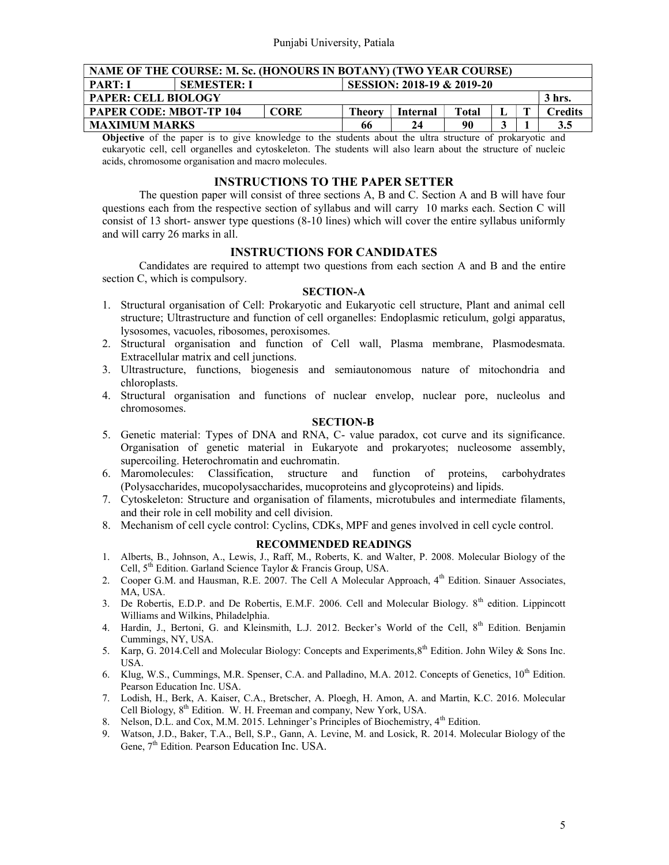| NAME OF THE COURSE: M. Sc. (HONOURS IN BOTANY) (TWO YEAR COURSE)   |                                                                                         |  |  |  |  |  |  |  |  |  |
|--------------------------------------------------------------------|-----------------------------------------------------------------------------------------|--|--|--|--|--|--|--|--|--|
| SESSION: 2018-19 & 2019-20<br><b>PART: I</b><br><b>SEMESTER: I</b> |                                                                                         |  |  |  |  |  |  |  |  |  |
| <b>PAPER: CELL BIOLOGY</b><br>3 hrs.                               |                                                                                         |  |  |  |  |  |  |  |  |  |
|                                                                    | <b>PAPER CODE: MBOT-TP 104</b><br><b>CORE</b><br>Theory<br>Total<br>Credits<br>Internal |  |  |  |  |  |  |  |  |  |
| <b>MAXIMUM MARKS</b><br>90<br>3.5<br>66<br>24<br>ີ                 |                                                                                         |  |  |  |  |  |  |  |  |  |

Objective of the paper is to give knowledge to the students about the ultra structure of prokaryotic and eukaryotic cell, cell organelles and cytoskeleton. The students will also learn about the structure of nucleic acids, chromosome organisation and macro molecules.

#### INSTRUCTIONS TO THE PAPER SETTER

 The question paper will consist of three sections A, B and C. Section A and B will have four questions each from the respective section of syllabus and will carry 10 marks each. Section C will consist of 13 short- answer type questions (8-10 lines) which will cover the entire syllabus uniformly and will carry 26 marks in all.

### INSTRUCTIONS FOR CANDIDATES

 Candidates are required to attempt two questions from each section A and B and the entire section C, which is compulsory.

### SECTION-A

- 1. Structural organisation of Cell: Prokaryotic and Eukaryotic cell structure, Plant and animal cell structure; Ultrastructure and function of cell organelles: Endoplasmic reticulum, golgi apparatus, lysosomes, vacuoles, ribosomes, peroxisomes.
- 2. Structural organisation and function of Cell wall, Plasma membrane, Plasmodesmata. Extracellular matrix and cell junctions.
- 3. Ultrastructure, functions, biogenesis and semiautonomous nature of mitochondria and chloroplasts.
- 4. Structural organisation and functions of nuclear envelop, nuclear pore, nucleolus and chromosomes.

## SECTION-B

- 5. Genetic material: Types of DNA and RNA, C- value paradox, cot curve and its significance. Organisation of genetic material in Eukaryote and prokaryotes; nucleosome assembly, supercoiling. Heterochromatin and euchromatin.
- 6. Maromolecules: Classification, structure and function of proteins, carbohydrates (Polysaccharides, mucopolysaccharides, mucoproteins and glycoproteins) and lipids.
- 7. Cytoskeleton: Structure and organisation of filaments, microtubules and intermediate filaments, and their role in cell mobility and cell division.
- 8. Mechanism of cell cycle control: Cyclins, CDKs, MPF and genes involved in cell cycle control.

- 1. Alberts, B., Johnson, A., Lewis, J., Raff, M., Roberts, K. and Walter, P. 2008. Molecular Biology of the Cell, 5<sup>th</sup> Edition. Garland Science Taylor & Francis Group, USA.
- 2. Cooper G.M. and Hausman, R.E. 2007. The Cell A Molecular Approach, 4<sup>th</sup> Edition. Sinauer Associates, MA, USA.
- 3. De Robertis, E.D.P. and De Robertis, E.M.F. 2006. Cell and Molecular Biology.  $8<sup>th</sup>$  edition. Lippincott Williams and Wilkins, Philadelphia.
- 4. Hardin, J., Bertoni, G. and Kleinsmith, L.J. 2012. Becker's World of the Cell, 8<sup>th</sup> Edition. Benjamin Cummings, NY, USA.
- 5. Karp, G. 2014.Cell and Molecular Biology: Concepts and Experiments,8th Edition. John Wiley & Sons Inc. USA.
- 6. Klug, W.S., Cummings, M.R. Spenser, C.A. and Palladino, M.A. 2012. Concepts of Genetics, 10<sup>th</sup> Edition. Pearson Education Inc. USA.
- 7. Lodish, H., Berk, A. Kaiser, C.A., Bretscher, A. Ploegh, H. Amon, A. and Martin, K.C. 2016. Molecular Cell Biology,  $8<sup>th</sup>$  Edition. W. H. Freeman and company, New York, USA.
- 8. Nelson, D.L. and Cox, M.M. 2015. Lehninger's Principles of Biochemistry, 4<sup>th</sup> Edition.
- 9. Watson, J.D., Baker, T.A., Bell, S.P., Gann, A. Levine, M. and Losick, R. 2014. Molecular Biology of the Gene, 7<sup>th</sup> Edition. Pearson Education Inc. USA.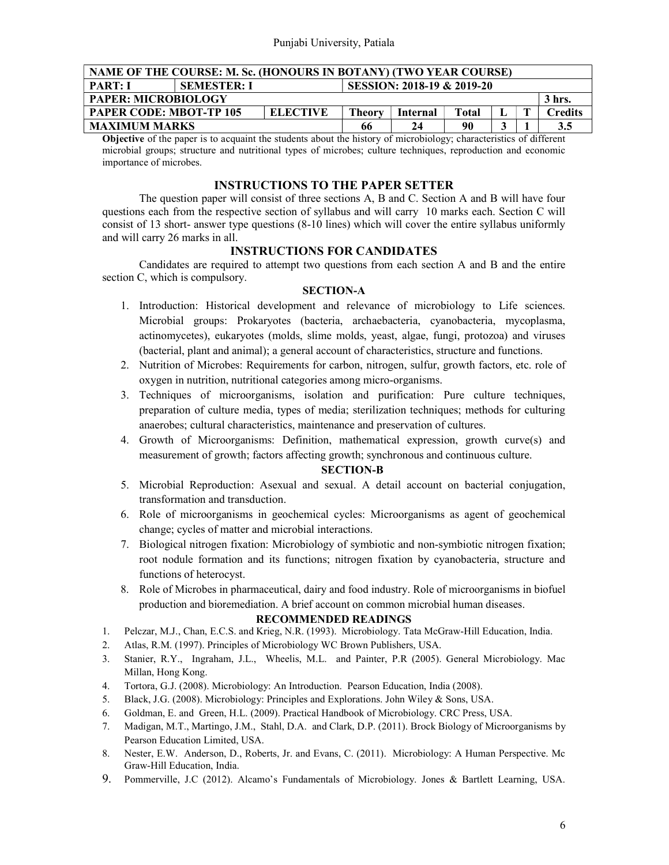| NAME OF THE COURSE: M. Sc. (HONOURS IN BOTANY) (TWO YEAR COURSE)   |                                                                                              |  |  |  |  |  |  |  |  |  |
|--------------------------------------------------------------------|----------------------------------------------------------------------------------------------|--|--|--|--|--|--|--|--|--|
| SESSION: 2018-19 & 2019-20<br><b>PART: I</b><br><b>SEMESTER: I</b> |                                                                                              |  |  |  |  |  |  |  |  |  |
| <b>PAPER: MICROBIOLOGY</b><br>3 hrs.                               |                                                                                              |  |  |  |  |  |  |  |  |  |
|                                                                    | <b>PAPER CODE: MBOT-TP 105</b><br><b>ELECTIVE</b><br>redits."<br>Theorv<br>Total<br>Internal |  |  |  |  |  |  |  |  |  |
| <b>MAXIMUM MARKS</b><br>90<br>3.5<br>24<br>66                      |                                                                                              |  |  |  |  |  |  |  |  |  |

Objective of the paper is to acquaint the students about the history of microbiology; characteristics of different microbial groups; structure and nutritional types of microbes; culture techniques, reproduction and economic importance of microbes.

#### INSTRUCTIONS TO THE PAPER SETTER

 The question paper will consist of three sections A, B and C. Section A and B will have four questions each from the respective section of syllabus and will carry 10 marks each. Section C will consist of 13 short- answer type questions (8-10 lines) which will cover the entire syllabus uniformly and will carry 26 marks in all.

### INSTRUCTIONS FOR CANDIDATES

 Candidates are required to attempt two questions from each section A and B and the entire section C, which is compulsory.

#### SECTION-A

- 1. Introduction: Historical development and relevance of microbiology to Life sciences. Microbial groups: Prokaryotes (bacteria, archaebacteria, cyanobacteria, mycoplasma, actinomycetes), eukaryotes (molds, slime molds, yeast, algae, fungi, protozoa) and viruses (bacterial, plant and animal); a general account of characteristics, structure and functions.
- 2. Nutrition of Microbes: Requirements for carbon, nitrogen, sulfur, growth factors, etc. role of oxygen in nutrition, nutritional categories among micro-organisms.
- 3. Techniques of microorganisms, isolation and purification: Pure culture techniques, preparation of culture media, types of media; sterilization techniques; methods for culturing anaerobes; cultural characteristics, maintenance and preservation of cultures.
- 4. Growth of Microorganisms: Definition, mathematical expression, growth curve(s) and measurement of growth; factors affecting growth; synchronous and continuous culture.

#### SECTION-B

- 5. Microbial Reproduction: Asexual and sexual. A detail account on bacterial conjugation, transformation and transduction.
- 6. Role of microorganisms in geochemical cycles: Microorganisms as agent of geochemical change; cycles of matter and microbial interactions.
- 7. Biological nitrogen fixation: Microbiology of symbiotic and non-symbiotic nitrogen fixation; root nodule formation and its functions; nitrogen fixation by cyanobacteria, structure and functions of heterocyst.
- 8. Role of Microbes in pharmaceutical, dairy and food industry. Role of microorganisms in biofuel production and bioremediation. A brief account on common microbial human diseases.

- 1. Pelczar, M.J., Chan, E.C.S. and Krieg, N.R. (1993). Microbiology. Tata McGraw-Hill Education, India.
- 2. Atlas, R.M. (1997). Principles of Microbiology WC Brown Publishers, USA.
- 3. Stanier, R.Y., Ingraham, J.L., Wheelis, M.L. and Painter, P.R (2005). General Microbiology. Mac Millan, Hong Kong.
- 4. Tortora, G.J. (2008). Microbiology: An Introduction. Pearson Education, India (2008).
- 5. Black, J.G. (2008). Microbiology: Principles and Explorations. John Wiley & Sons, USA.
- 6. Goldman, E. and Green, H.L. (2009). Practical Handbook of Microbiology. CRC Press, USA.
- 7. Madigan, M.T., Martingo, J.M., Stahl, D.A. and Clark, D.P. (2011). Brock Biology of Microorganisms by Pearson Education Limited, USA.
- 8. Nester, E.W. Anderson, D., Roberts, Jr. and Evans, C. (2011). Microbiology: A Human Perspective. Mc Graw-Hill Education, India.
- 9. Pommerville, J.C (2012). Alcamo's Fundamentals of Microbiology. Jones & Bartlett Learning, USA.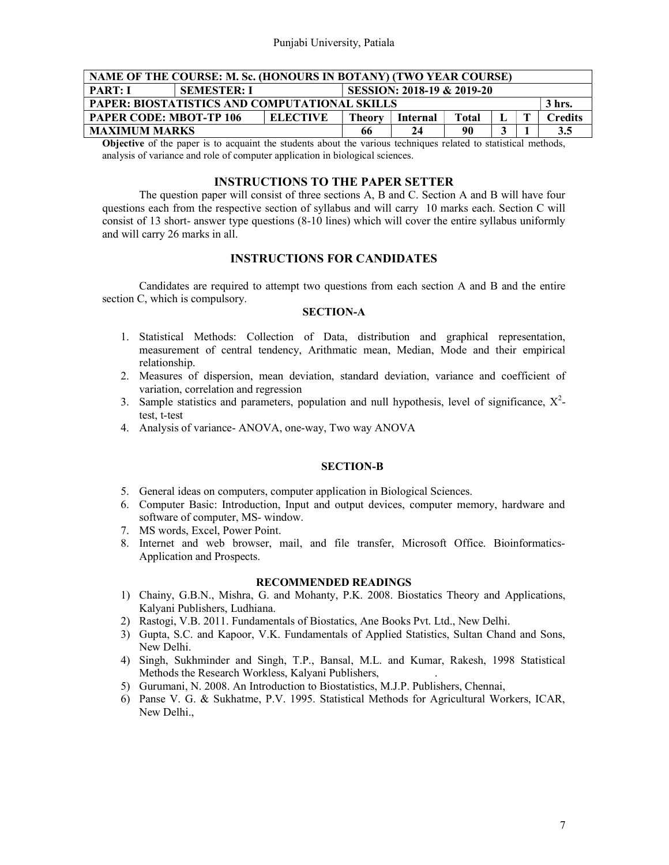| NAME OF THE COURSE: M. Sc. (HONOURS IN BOTANY) (TWO YEAR COURSE)                            |  |  |  |  |  |  |  |     |  |  |
|---------------------------------------------------------------------------------------------|--|--|--|--|--|--|--|-----|--|--|
| SESSION: 2018-19 & 2019-20<br><b>PART: I</b><br><b>SEMESTER: I</b>                          |  |  |  |  |  |  |  |     |  |  |
| PAPER: BIOSTATISTICS AND COMPUTATIONAL SKILLS<br>3 hrs.                                     |  |  |  |  |  |  |  |     |  |  |
| <b>PAPER CODE: MBOT-TP 106</b><br><b>ELECTIVE</b><br>Total<br>Credits<br>Theory<br>Internal |  |  |  |  |  |  |  |     |  |  |
| <b>MAXIMUM MARKS</b><br>90<br>66                                                            |  |  |  |  |  |  |  | 3.5 |  |  |

Objective of the paper is to acquaint the students about the various techniques related to statistical methods, analysis of variance and role of computer application in biological sciences.

### INSTRUCTIONS TO THE PAPER SETTER

 The question paper will consist of three sections A, B and C. Section A and B will have four questions each from the respective section of syllabus and will carry 10 marks each. Section C will consist of 13 short- answer type questions (8-10 lines) which will cover the entire syllabus uniformly and will carry 26 marks in all.

### INSTRUCTIONS FOR CANDIDATES

 Candidates are required to attempt two questions from each section A and B and the entire section C, which is compulsory.

## SECTION-A

- 1. Statistical Methods: Collection of Data, distribution and graphical representation, measurement of central tendency, Arithmatic mean, Median, Mode and their empirical relationship.
- 2. Measures of dispersion, mean deviation, standard deviation, variance and coefficient of variation, correlation and regression
- 3. Sample statistics and parameters, population and null hypothesis, level of significance,  $X^2$ test, t-test
- 4. Analysis of variance- ANOVA, one-way, Two way ANOVA

#### SECTION-B

- 5. General ideas on computers, computer application in Biological Sciences.
- 6. Computer Basic: Introduction, Input and output devices, computer memory, hardware and software of computer, MS- window.
- 7. MS words, Excel, Power Point.
- 8. Internet and web browser, mail, and file transfer, Microsoft Office. Bioinformatics-Application and Prospects.

- 1) Chainy, G.B.N., Mishra, G. and Mohanty, P.K. 2008. Biostatics Theory and Applications, Kalyani Publishers, Ludhiana.
- 2) Rastogi, V.B. 2011. Fundamentals of Biostatics, Ane Books Pvt. Ltd., New Delhi.
- 3) Gupta, S.C. and Kapoor, V.K. Fundamentals of Applied Statistics, Sultan Chand and Sons, New Delhi.
- 4) Singh, Sukhminder and Singh, T.P., Bansal, M.L. and Kumar, Rakesh, 1998 Statistical Methods the Research Workless, Kalyani Publishers, .
- 5) Gurumani, N. 2008. An Introduction to Biostatistics, M.J.P. Publishers, Chennai,
- 6) Panse V. G. & Sukhatme, P.V. 1995. Statistical Methods for Agricultural Workers, ICAR, New Delhi.,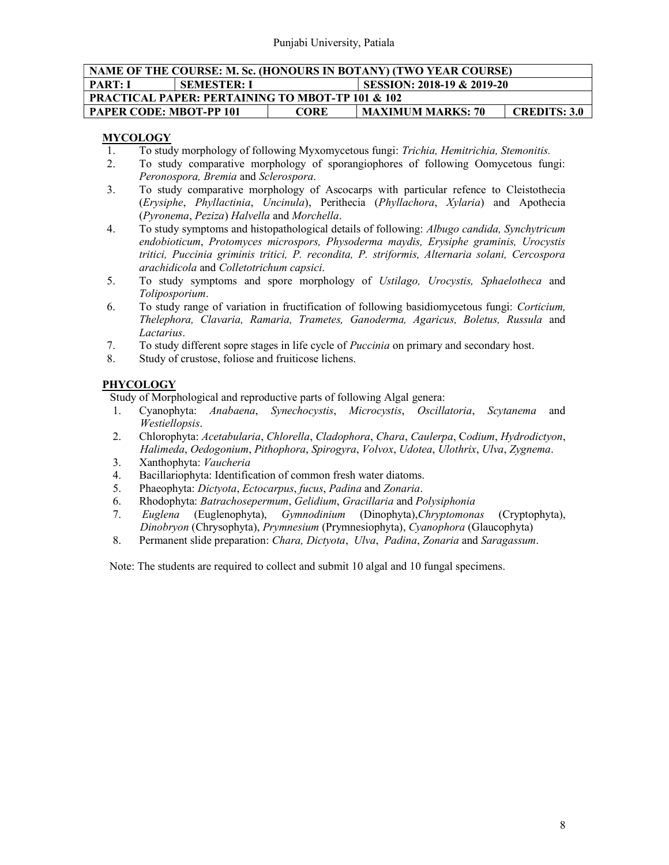| NAME OF THE COURSE: M. Sc. (HONOURS IN BOTANY) (TWO YEAR COURSE)                          |                                                             |  |  |  |  |  |  |  |  |
|-------------------------------------------------------------------------------------------|-------------------------------------------------------------|--|--|--|--|--|--|--|--|
| SESSION: 2018-19 & 2019-20<br><b>PART: I</b><br><b>SEMESTER: I</b>                        |                                                             |  |  |  |  |  |  |  |  |
|                                                                                           | <b>PRACTICAL PAPER: PERTAINING TO MBOT-TP 101 &amp; 102</b> |  |  |  |  |  |  |  |  |
| <b>PAPER CODE: MBOT-PP 101</b><br><b>MAXIMUM MARKS: 70</b><br><b>CREDITS: 3.0</b><br>CORE |                                                             |  |  |  |  |  |  |  |  |

## **MYCOLOGY**

- 1. To study morphology of following Myxomycetous fungi: Trichia, Hemitrichia, Stemonitis.
- 2. To study comparative morphology of sporangiophores of following Oomycetous fungi: Peronospora, Bremia and Sclerospora.
- 3. To study comparative morphology of Ascocarps with particular refence to Cleistothecia (Erysiphe, Phyllactinia, Uncinula), Perithecia (Phyllachora, Xylaria) and Apothecia (Pyronema, Peziza) Halvella and Morchella.
- 4. To study symptoms and histopathological details of following: Albugo candida, Synchytricum endobioticum, Protomyces microspors, Physoderma maydis, Erysiphe graminis, Urocystis tritici, Puccinia griminis tritici, P. recondita, P. striformis, Alternaria solani, Cercospora arachidicola and Colletotrichum capsici.
- 5. To study symptoms and spore morphology of Ustilago, Urocystis, Sphaelotheca and Toliposporium.
- 6. To study range of variation in fructification of following basidiomycetous fungi: Corticium, Thelephora, Clavaria, Ramaria, Trametes, Ganoderma, Agaricus, Boletus, Russula and Lactarius.
- 7. To study different sopre stages in life cycle of Puccinia on primary and secondary host.
- 8. Study of crustose, foliose and fruiticose lichens.

# PHYCOLOGY

Study of Morphological and reproductive parts of following Algal genera:

- 1. Cyanophyta: Anabaena, Synechocystis, Microcystis, Oscillatoria, Scytanema and Westiellopsis.
- 2. Chlorophyta: Acetabularia, Chlorella, Cladophora, Chara, Caulerpa, Codium, Hydrodictyon, Halimeda, Oedogonium, Pithophora, Spirogyra, Volvox, Udotea, Ulothrix, Ulva, Zygnema.
- 3. Xanthophyta: Vaucheria
- 4. Bacillariophyta: Identification of common fresh water diatoms.
- 5. Phaeophyta: Dictyota, Ectocarpus, fucus, Padina and Zonaria.
- 6. Rhodophyta: Batrachosepermum, Gelidium, Gracillaria and Polysiphonia
- 7. Euglena (Euglenophyta), Gymnodinium (Dinophyta),Chryptomonas (Cryptophyta), Dinobryon (Chrysophyta), Prymnesium (Prymnesiophyta), Cyanophora (Glaucophyta)
- 8. Permanent slide preparation: Chara, Dictyota, Ulva, Padina, Zonaria and Saragassum.

Note: The students are required to collect and submit 10 algal and 10 fungal specimens.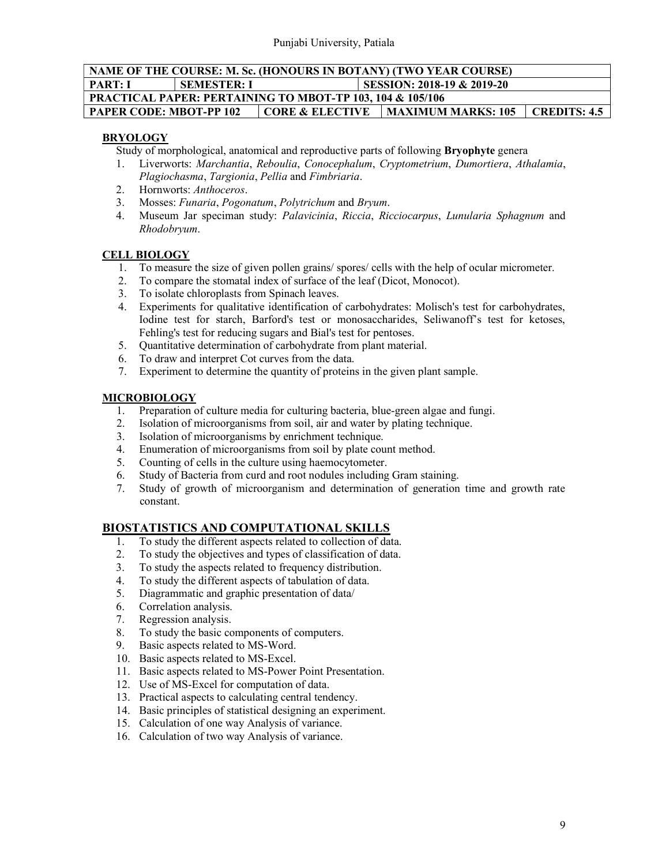# NAME OF THE COURSE: M. Sc. (HONOURS IN BOTANY) (TWO YEAR COURSE) PART: I SEMESTER: I SESSION: 2018-19 & 2019-20 PRACTICAL PAPER: PERTAINING TO MBOT-TP 103, 104 & 105/106 PAPER CODE: MBOT-PP 102 CORE & ELECTIVE MAXIMUM MARKS: 105 CREDITS: 4.5

# BRYOLOGY

Study of morphological, anatomical and reproductive parts of following Bryophyte genera

- 1. Liverworts: Marchantia, Reboulia, Conocephalum, Cryptometrium, Dumortiera, Athalamia, Plagiochasma, Targionia, Pellia and Fimbriaria.
- 2. Hornworts: Anthoceros.
- 3. Mosses: Funaria, Pogonatum, Polytrichum and Bryum.
- 4. Museum Jar speciman study: Palavicinia, Riccia, Ricciocarpus, Lunularia Sphagnum and Rhodobryum.

# CELL BIOLOGY

- 1. To measure the size of given pollen grains/ spores/ cells with the help of ocular micrometer.
- 2. To compare the stomatal index of surface of the leaf (Dicot, Monocot).
- 3. To isolate chloroplasts from Spinach leaves.
- 4. Experiments for qualitative identification of carbohydrates: Molisch's test for carbohydrates, Iodine test for starch, Barford's test or monosaccharides, Seliwanoff's test for ketoses, Fehling's test for reducing sugars and Bial's test for pentoses.
- 5. Quantitative determination of carbohydrate from plant material.
- 6. To draw and interpret Cot curves from the data.
- 7. Experiment to determine the quantity of proteins in the given plant sample.

## MICROBIOLOGY

- 1. Preparation of culture media for culturing bacteria, blue-green algae and fungi.
- 2. Isolation of microorganisms from soil, air and water by plating technique.
- 3. Isolation of microorganisms by enrichment technique.
- 4. Enumeration of microorganisms from soil by plate count method.
- 5. Counting of cells in the culture using haemocytometer.
- 6. Study of Bacteria from curd and root nodules including Gram staining.
- 7. Study of growth of microorganism and determination of generation time and growth rate constant.

# BIOSTATISTICS AND COMPUTATIONAL SKILLS

- 1. To study the different aspects related to collection of data.
- 2. To study the objectives and types of classification of data.
- 3. To study the aspects related to frequency distribution.
- 4. To study the different aspects of tabulation of data.
- 5. Diagrammatic and graphic presentation of data/
- 6. Correlation analysis.
- 7. Regression analysis.
- 8. To study the basic components of computers.<br>9. Basic aspects related to MS-Word.
- Basic aspects related to MS-Word.
- 10. Basic aspects related to MS-Excel.
- 11. Basic aspects related to MS-Power Point Presentation.
- 12. Use of MS-Excel for computation of data.
- 13. Practical aspects to calculating central tendency.
- 14. Basic principles of statistical designing an experiment.
- 15. Calculation of one way Analysis of variance.
- 16. Calculation of two way Analysis of variance.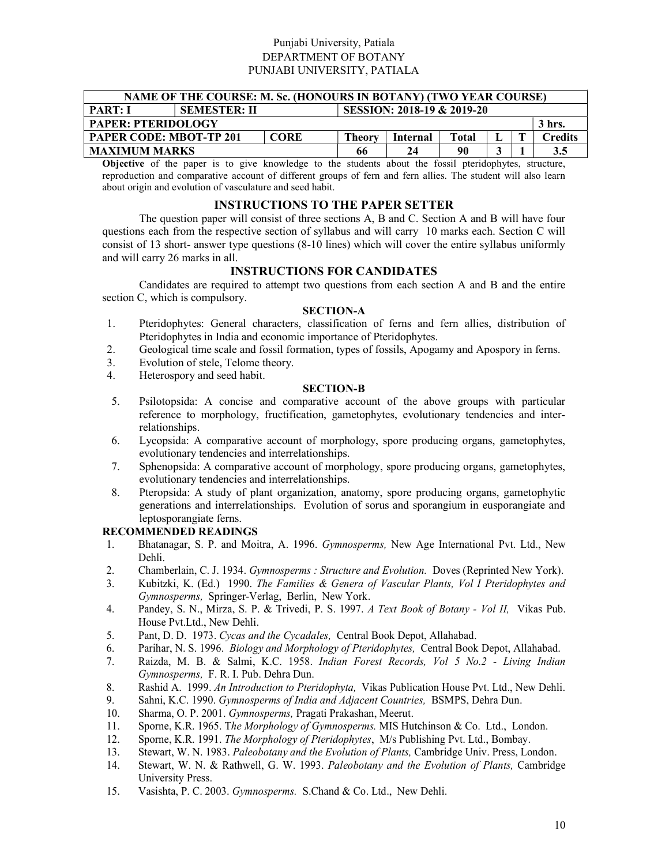## Punjabi University, Patiala DEPARTMENT OF BOTANY PUNJABI UNIVERSITY, PATIALA

| NAME OF THE COURSE: M. Sc. (HONOURS IN BOTANY) (TWO YEAR COURSE)    |                                                                                                |    |    |    |  |  |    |  |  |  |  |
|---------------------------------------------------------------------|------------------------------------------------------------------------------------------------|----|----|----|--|--|----|--|--|--|--|
| SESSION: 2018-19 & 2019-20<br><b>SEMESTER: II</b><br><b>PART: I</b> |                                                                                                |    |    |    |  |  |    |  |  |  |  |
|                                                                     | <b>PAPER: PTERIDOLOGY</b><br>3 hrs.                                                            |    |    |    |  |  |    |  |  |  |  |
|                                                                     | <b>PAPER CODE: MBOT-TP 201</b><br><b>CORE</b><br>Total<br>Theory<br><b>Credits</b><br>Internal |    |    |    |  |  |    |  |  |  |  |
| <b>MAXIMUM MARKS</b>                                                |                                                                                                | 66 | 24 | 90 |  |  | 35 |  |  |  |  |

Objective of the paper is to give knowledge to the students about the fossil pteridophytes, structure, reproduction and comparative account of different groups of fern and fern allies. The student will also learn about origin and evolution of vasculature and seed habit.

### INSTRUCTIONS TO THE PAPER SETTER

 The question paper will consist of three sections A, B and C. Section A and B will have four questions each from the respective section of syllabus and will carry 10 marks each. Section C will consist of 13 short- answer type questions (8-10 lines) which will cover the entire syllabus uniformly and will carry 26 marks in all.

### INSTRUCTIONS FOR CANDIDATES

 Candidates are required to attempt two questions from each section A and B and the entire section C, which is compulsory.

### SECTION-A

- 1. Pteridophytes: General characters, classification of ferns and fern allies, distribution of Pteridophytes in India and economic importance of Pteridophytes.
- 2. Geological time scale and fossil formation, types of fossils, Apogamy and Apospory in ferns.
- 3. Evolution of stele, Telome theory.
- 4. Heterospory and seed habit.

#### SECTION-B

- 5. Psilotopsida: A concise and comparative account of the above groups with particular reference to morphology, fructification, gametophytes, evolutionary tendencies and interrelationships.
- 6. Lycopsida: A comparative account of morphology, spore producing organs, gametophytes, evolutionary tendencies and interrelationships.
- 7. Sphenopsida: A comparative account of morphology, spore producing organs, gametophytes, evolutionary tendencies and interrelationships.
- 8. Pteropsida: A study of plant organization, anatomy, spore producing organs, gametophytic generations and interrelationships. Evolution of sorus and sporangium in eusporangiate and leptosporangiate ferns.

- 1. Bhatanagar, S. P. and Moitra, A. 1996. Gymnosperms, New Age International Pvt. Ltd., New Dehli.
- 2. Chamberlain, C. J. 1934. Gymnosperms : Structure and Evolution. Doves (Reprinted New York).
- 3. Kubitzki, K. (Ed.) 1990. The Families & Genera of Vascular Plants, Vol I Pteridophytes and Gymnosperms, Springer-Verlag, Berlin, New York.
- 4. Pandey, S. N., Mirza, S. P. & Trivedi, P. S. 1997. A Text Book of Botany Vol II, Vikas Pub. House Pvt.Ltd., New Dehli.
- 5. Pant, D. D. 1973. Cycas and the Cycadales, Central Book Depot, Allahabad.
- 6. Parihar, N. S. 1996. Biology and Morphology of Pteridophytes, Central Book Depot, Allahabad.
- 7. Raizda, M. B. & Salmi, K.C. 1958. Indian Forest Records, Vol 5 No.2 Living Indian Gymnosperms, F. R. I. Pub. Dehra Dun.
- 8. Rashid A. 1999. An Introduction to Pteridophyta, Vikas Publication House Pvt. Ltd., New Dehli.
- 9. Sahni, K.C. 1990. Gymnosperms of India and Adjacent Countries, BSMPS, Dehra Dun.
- 10. Sharma, O. P. 2001. Gymnosperms, Pragati Prakashan, Meerut.
- 11. Sporne, K.R. 1965. The Morphology of Gymnosperms. MIS Hutchinson & Co. Ltd., London.
- 12. Sporne, K.R. 1991. The Morphology of Pteridophytes, M/s Publishing Pvt. Ltd., Bombay.
- 13. Stewart, W. N. 1983. Paleobotany and the Evolution of Plants, Cambridge Univ. Press, London.
- 14. Stewart, W. N. & Rathwell, G. W. 1993. Paleobotany and the Evolution of Plants, Cambridge University Press.
- 15. Vasishta, P. C. 2003. Gymnosperms. S.Chand & Co. Ltd., New Dehli.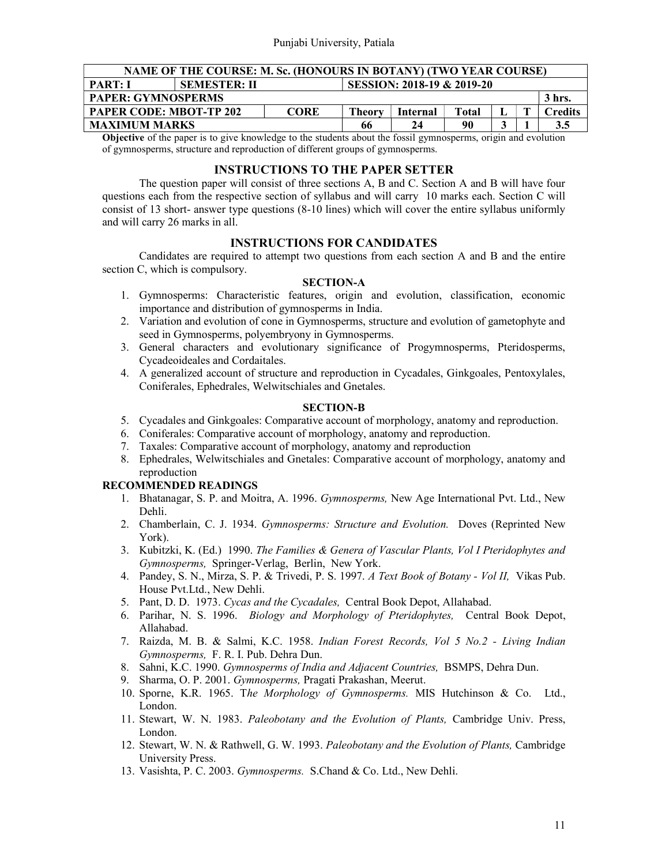| NAME OF THE COURSE: M. Sc. (HONOURS IN BOTANY) (TWO YEAR COURSE)                                                                                                                                                                                                                                                                                                                                                                                                              |  |             |        |          |       |  |  |         |  |
|-------------------------------------------------------------------------------------------------------------------------------------------------------------------------------------------------------------------------------------------------------------------------------------------------------------------------------------------------------------------------------------------------------------------------------------------------------------------------------|--|-------------|--------|----------|-------|--|--|---------|--|
| SESSION: 2018-19 & 2019-20<br><b>PART: I</b><br><b>SEMESTER: II</b>                                                                                                                                                                                                                                                                                                                                                                                                           |  |             |        |          |       |  |  |         |  |
| <b>PAPER: GYMNOSPERMS</b><br>3 hrs.                                                                                                                                                                                                                                                                                                                                                                                                                                           |  |             |        |          |       |  |  |         |  |
| <b>PAPER CODE: MBOT-TP 202</b>                                                                                                                                                                                                                                                                                                                                                                                                                                                |  | <b>CORE</b> | Theory | Internal | Total |  |  | Credits |  |
| <b>MAXIMUM MARKS</b><br>90<br>3.5<br>66<br>24                                                                                                                                                                                                                                                                                                                                                                                                                                 |  |             |        |          |       |  |  |         |  |
| $\overline{O(1 + \epsilon)}$ $\overline{O(1 + \epsilon)}$ $\overline{O(1 + \epsilon)}$ $\overline{O(1 + \epsilon)}$ $\overline{O(1 + \epsilon)}$ $\overline{O(1 + \epsilon)}$ $\overline{O(1 + \epsilon)}$ $\overline{O(1 + \epsilon)}$ $\overline{O(1 + \epsilon)}$ $\overline{O(1 + \epsilon)}$ $\overline{O(1 + \epsilon)}$ $\overline{O(1 + \epsilon)}$ $\overline{O(1 + \epsilon)}$ $\overline{O(1 + \epsilon)}$ $\overline{O(1 + \epsilon)}$ $\overline{O(1 + \epsilon$ |  |             |        |          |       |  |  |         |  |

Objective of the paper is to give knowledge to the students about the fossil gymnosperms, origin and evolution of gymnosperms, structure and reproduction of different groups of gymnosperms.

### INSTRUCTIONS TO THE PAPER SETTER

 The question paper will consist of three sections A, B and C. Section A and B will have four questions each from the respective section of syllabus and will carry 10 marks each. Section C will consist of 13 short- answer type questions (8-10 lines) which will cover the entire syllabus uniformly and will carry 26 marks in all.

## INSTRUCTIONS FOR CANDIDATES

 Candidates are required to attempt two questions from each section A and B and the entire section C, which is compulsory.

### SECTION-A

- 1. Gymnosperms: Characteristic features, origin and evolution, classification, economic importance and distribution of gymnosperms in India.
- 2. Variation and evolution of cone in Gymnosperms, structure and evolution of gametophyte and seed in Gymnosperms, polyembryony in Gymnosperms.
- 3. General characters and evolutionary significance of Progymnosperms, Pteridosperms, Cycadeoideales and Cordaitales.
- 4. A generalized account of structure and reproduction in Cycadales, Ginkgoales, Pentoxylales, Coniferales, Ephedrales, Welwitschiales and Gnetales.

#### SECTION-B

- 5. Cycadales and Ginkgoales: Comparative account of morphology, anatomy and reproduction.
- 6. Coniferales: Comparative account of morphology, anatomy and reproduction.
- 7. Taxales: Comparative account of morphology, anatomy and reproduction
- 8. Ephedrales, Welwitschiales and Gnetales: Comparative account of morphology, anatomy and reproduction

- 1. Bhatanagar, S. P. and Moitra, A. 1996. Gymnosperms, New Age International Pvt. Ltd., New Dehli.
- 2. Chamberlain, C. J. 1934. Gymnosperms: Structure and Evolution. Doves (Reprinted New York).
- 3. Kubitzki, K. (Ed.) 1990. The Families & Genera of Vascular Plants, Vol I Pteridophytes and Gymnosperms, Springer-Verlag, Berlin, New York.
- 4. Pandey, S. N., Mirza, S. P. & Trivedi, P. S. 1997. A Text Book of Botany Vol II, Vikas Pub. House Pvt.Ltd., New Dehli.
- 5. Pant, D. D. 1973. Cycas and the Cycadales, Central Book Depot, Allahabad.
- 6. Parihar, N. S. 1996. Biology and Morphology of Pteridophytes, Central Book Depot, Allahabad.
- 7. Raizda, M. B. & Salmi, K.C. 1958. Indian Forest Records, Vol 5 No.2 Living Indian Gymnosperms, F. R. I. Pub. Dehra Dun.
- 8. Sahni, K.C. 1990. Gymnosperms of India and Adjacent Countries, BSMPS, Dehra Dun.
- 9. Sharma, O. P. 2001. Gymnosperms, Pragati Prakashan, Meerut.
- 10. Sporne, K.R. 1965. The Morphology of Gymnosperms. MIS Hutchinson & Co. Ltd., London.
- 11. Stewart, W. N. 1983. Paleobotany and the Evolution of Plants, Cambridge Univ. Press, London.
- 12. Stewart, W. N. & Rathwell, G. W. 1993. Paleobotany and the Evolution of Plants, Cambridge University Press.
- 13. Vasishta, P. C. 2003. Gymnosperms. S.Chand & Co. Ltd., New Dehli.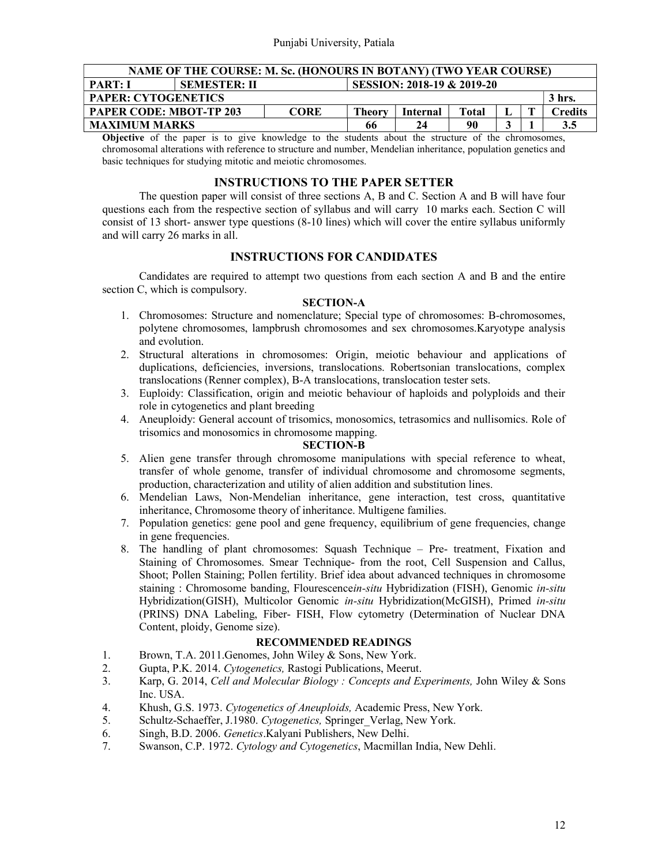| NAME OF THE COURSE: M. Sc. (HONOURS IN BOTANY) (TWO YEAR COURSE) |                                                   |               |          |                                    |                        |  |         |     |  |
|------------------------------------------------------------------|---------------------------------------------------|---------------|----------|------------------------------------|------------------------|--|---------|-----|--|
| <b>PART: I</b>                                                   | SESSION: 2018-19 & 2019-20<br><b>SEMESTER: II</b> |               |          |                                    |                        |  |         |     |  |
| <b>PAPER: CYTOGENETICS</b><br>3 hrs.                             |                                                   |               |          |                                    |                        |  |         |     |  |
| <b>PAPER CODE: MBOT-TP 203</b>                                   |                                                   | <b>Theory</b> | Internal | Total                              |                        |  | Credits |     |  |
| <b>MAXIMUM MARKS</b>                                             |                                                   |               | 66       | 24                                 | 90                     |  |         | 3.5 |  |
| $\sim$ $\sim$<br>$\sim$ $\sim$ $\sim$                            |                                                   |               |          | $\sim$ $\sim$ $\sim$ $\sim$ $\sim$ | $\sim$ $\cdot$ $\cdot$ |  |         |     |  |

Objective of the paper is to give knowledge to the students about the structure of the chromosomes, chromosomal alterations with reference to structure and number, Mendelian inheritance, population genetics and basic techniques for studying mitotic and meiotic chromosomes.

### INSTRUCTIONS TO THE PAPER SETTER

 The question paper will consist of three sections A, B and C. Section A and B will have four questions each from the respective section of syllabus and will carry 10 marks each. Section C will consist of 13 short- answer type questions (8-10 lines) which will cover the entire syllabus uniformly and will carry 26 marks in all.

### INSTRUCTIONS FOR CANDIDATES

 Candidates are required to attempt two questions from each section A and B and the entire section C, which is compulsory.

#### SECTION-A

- 1. Chromosomes: Structure and nomenclature; Special type of chromosomes: B-chromosomes, polytene chromosomes, lampbrush chromosomes and sex chromosomes.Karyotype analysis and evolution.
- 2. Structural alterations in chromosomes: Origin, meiotic behaviour and applications of duplications, deficiencies, inversions, translocations. Robertsonian translocations, complex translocations (Renner complex), B-A translocations, translocation tester sets.
- 3. Euploidy: Classification, origin and meiotic behaviour of haploids and polyploids and their role in cytogenetics and plant breeding
- 4. Aneuploidy: General account of trisomics, monosomics, tetrasomics and nullisomics. Role of trisomics and monosomics in chromosome mapping.

### SECTION-B

- 5. Alien gene transfer through chromosome manipulations with special reference to wheat, transfer of whole genome, transfer of individual chromosome and chromosome segments, production, characterization and utility of alien addition and substitution lines.
- 6. Mendelian Laws, Non-Mendelian inheritance, gene interaction, test cross, quantitative inheritance, Chromosome theory of inheritance. Multigene families.
- 7. Population genetics: gene pool and gene frequency, equilibrium of gene frequencies, change in gene frequencies.
- 8. The handling of plant chromosomes: Squash Technique Pre- treatment, Fixation and Staining of Chromosomes. Smear Technique- from the root, Cell Suspension and Callus, Shoot; Pollen Staining; Pollen fertility. Brief idea about advanced techniques in chromosome staining : Chromosome banding, Flourescencein-situ Hybridization (FISH), Genomic in-situ Hybridization(GISH), Multicolor Genomic in-situ Hybridization(McGISH), Primed in-situ (PRINS) DNA Labeling, Fiber- FISH, Flow cytometry (Determination of Nuclear DNA Content, ploidy, Genome size).

- 1. Brown, T.A. 2011.Genomes, John Wiley & Sons, New York.
- 2. Gupta, P.K. 2014. Cytogenetics, Rastogi Publications, Meerut.
- 3. Karp, G. 2014, Cell and Molecular Biology : Concepts and Experiments, John Wiley & Sons Inc. USA.
- 4. Khush, G.S. 1973. Cytogenetics of Aneuploids, Academic Press, New York.
- 5. Schultz-Schaeffer, J.1980. Cytogenetics, Springer Verlag, New York.
- 6. Singh, B.D. 2006. Genetics.Kalyani Publishers, New Delhi.
- 7. Swanson, C.P. 1972. Cytology and Cytogenetics, Macmillan India, New Dehli.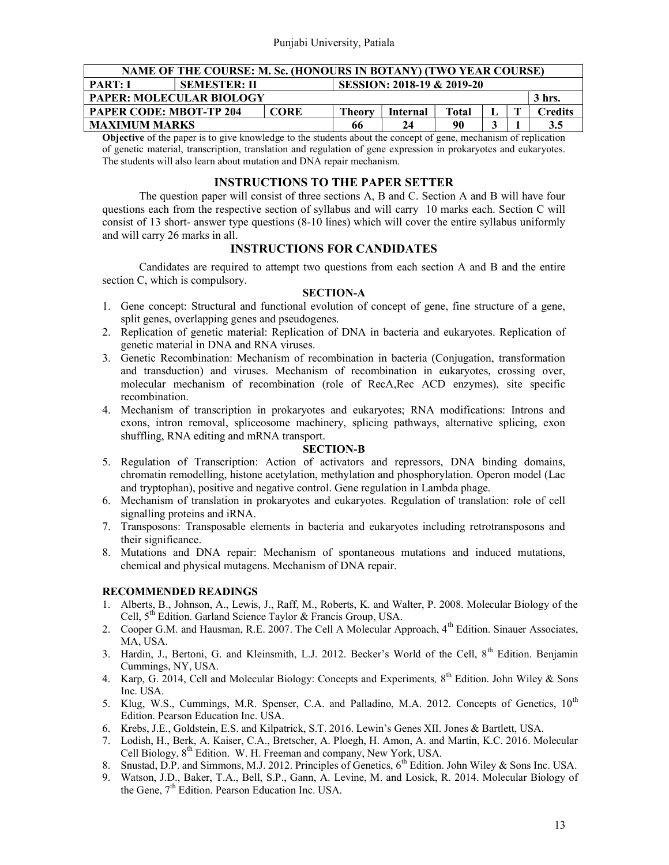| NAME OF THE COURSE: M. Sc. (HONOURS IN BOTANY) (TWO YEAR COURSE)             |                                                   |  |    |    |         |  |        |     |  |
|------------------------------------------------------------------------------|---------------------------------------------------|--|----|----|---------|--|--------|-----|--|
| <b>PART: I</b>                                                               | SESSION: 2018-19 & 2019-20<br><b>SEMESTER: II</b> |  |    |    |         |  |        |     |  |
| <b>PAPER: MOLECULAR BIOLOGY</b>                                              |                                                   |  |    |    |         |  | 3 hrs. |     |  |
| <b>PAPER CODE: MBOT-TP 204</b><br><b>CORE</b><br>Theory<br>Total<br>Internal |                                                   |  |    |    | Credits |  |        |     |  |
| <b>MAXIMUM MARKS</b>                                                         |                                                   |  | 66 | 24 | 90      |  |        | 3.5 |  |

Objective of the paper is to give knowledge to the students about the concept of gene, mechanism of replication of genetic material, transcription, translation and regulation of gene expression in prokaryotes and eukaryotes. The students will also learn about mutation and DNA repair mechanism.

### INSTRUCTIONS TO THE PAPER SETTER

 The question paper will consist of three sections A, B and C. Section A and B will have four questions each from the respective section of syllabus and will carry 10 marks each. Section C will consist of 13 short- answer type questions (8-10 lines) which will cover the entire syllabus uniformly and will carry 26 marks in all.

## INSTRUCTIONS FOR CANDIDATES

 Candidates are required to attempt two questions from each section A and B and the entire section C, which is compulsory.

### SECTION-A

- 1. Gene concept: Structural and functional evolution of concept of gene, fine structure of a gene, split genes, overlapping genes and pseudogenes.
- 2. Replication of genetic material: Replication of DNA in bacteria and eukaryotes. Replication of genetic material in DNA and RNA viruses.
- 3. Genetic Recombination: Mechanism of recombination in bacteria (Conjugation, transformation and transduction) and viruses. Mechanism of recombination in eukaryotes, crossing over, molecular mechanism of recombination (role of RecA,Rec ACD enzymes), site specific recombination.
- 4. Mechanism of transcription in prokaryotes and eukaryotes; RNA modifications: Introns and exons, intron removal, spliceosome machinery, splicing pathways, alternative splicing, exon shuffling, RNA editing and mRNA transport.

#### SECTION-B

- 5. Regulation of Transcription: Action of activators and repressors, DNA binding domains, chromatin remodelling, histone acetylation, methylation and phosphorylation. Operon model (Lac and tryptophan), positive and negative control. Gene regulation in Lambda phage.
- 6. Mechanism of translation in prokaryotes and eukaryotes. Regulation of translation: role of cell signalling proteins and iRNA.
- 7. Transposons: Transposable elements in bacteria and eukaryotes including retrotransposons and their significance.
- 8. Mutations and DNA repair: Mechanism of spontaneous mutations and induced mutations, chemical and physical mutagens. Mechanism of DNA repair.

- 1. Alberts, B., Johnson, A., Lewis, J., Raff, M., Roberts, K. and Walter, P. 2008. Molecular Biology of the Cell,  $5<sup>th</sup>$  Edition. Garland Science Taylor & Francis Group, USA.
- 2. Cooper G.M. and Hausman, R.E. 2007. The Cell A Molecular Approach, 4<sup>th</sup> Edition. Sinauer Associates, MA, USA.
- 3. Hardin, J., Bertoni, G. and Kleinsmith, L.J. 2012. Becker's World of the Cell, 8<sup>th</sup> Edition. Benjamin Cummings, NY, USA.
- 4. Karp, G. 2014, Cell and Molecular Biology: Concepts and Experiments,  $8^{th}$  Edition. John Wiley & Sons Inc. USA.
- 5. Klug, W.S., Cummings, M.R. Spenser, C.A. and Palladino, M.A. 2012. Concepts of Genetics, 10<sup>th</sup> Edition. Pearson Education Inc. USA.
- 6. Krebs, J.E., Goldstein, E.S. and Kilpatrick, S.T. 2016. Lewin's Genes XII. Jones & Bartlett, USA.
- 7. Lodish, H., Berk, A. Kaiser, C.A., Bretscher, A. Ploegh, H. Amon, A. and Martin, K.C. 2016. Molecular Cell Biology, 8th Edition. W. H. Freeman and company, New York, USA.
- 8. Snustad, D.P. and Simmons, M.J. 2012. Principles of Genetics, 6<sup>th</sup> Edition. John Wiley & Sons Inc. USA.
- 9. Watson, J.D., Baker, T.A., Bell, S.P., Gann, A. Levine, M. and Losick, R. 2014. Molecular Biology of the Gene, 7<sup>th</sup> Edition. Pearson Education Inc. USA.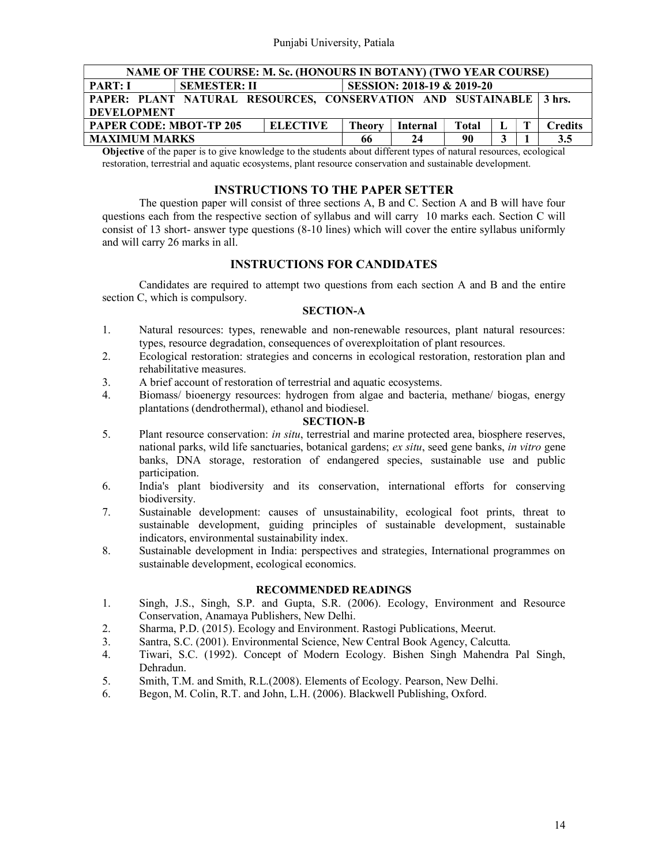| NAME OF THE COURSE: M. Sc. (HONOURS IN BOTANY) (TWO YEAR COURSE)    |               |          |       |  |  |                |  |  |  |
|---------------------------------------------------------------------|---------------|----------|-------|--|--|----------------|--|--|--|
| SESSION: 2018-19 & 2019-20<br><b>PART: I</b><br><b>SEMESTER: II</b> |               |          |       |  |  |                |  |  |  |
| PAPER: PLANT NATURAL RESOURCES, CONSERVATION AND SUSTAINABLE 3 hrs. |               |          |       |  |  |                |  |  |  |
| <b>DEVELOPMENT</b>                                                  |               |          |       |  |  |                |  |  |  |
| <b>PAPER CODE: MBOT-TP 205</b><br><b>ELECTIVE</b>                   | <b>Theory</b> | Internal | Total |  |  | <b>Credits</b> |  |  |  |
| <b>MAXIMUM MARKS</b>                                                | 66            | 24       | 90    |  |  | 3.5            |  |  |  |

Objective of the paper is to give knowledge to the students about different types of natural resources, ecological restoration, terrestrial and aquatic ecosystems, plant resource conservation and sustainable development.

### INSTRUCTIONS TO THE PAPER SETTER

 The question paper will consist of three sections A, B and C. Section A and B will have four questions each from the respective section of syllabus and will carry 10 marks each. Section C will consist of 13 short- answer type questions (8-10 lines) which will cover the entire syllabus uniformly and will carry 26 marks in all.

## INSTRUCTIONS FOR CANDIDATES

 Candidates are required to attempt two questions from each section A and B and the entire section C, which is compulsory.

### SECTION-A

- 1. Natural resources: types, renewable and non-renewable resources, plant natural resources: types, resource degradation, consequences of overexploitation of plant resources.
- 2. Ecological restoration: strategies and concerns in ecological restoration, restoration plan and rehabilitative measures.
- 3. A brief account of restoration of terrestrial and aquatic ecosystems.
- 4. Biomass/ bioenergy resources: hydrogen from algae and bacteria, methane/ biogas, energy plantations (dendrothermal), ethanol and biodiesel.

### SECTION-B

- 5. Plant resource conservation: in situ, terrestrial and marine protected area, biosphere reserves, national parks, wild life sanctuaries, botanical gardens; ex situ, seed gene banks, in vitro gene banks, DNA storage, restoration of endangered species, sustainable use and public participation.
- 6. India's plant biodiversity and its conservation, international efforts for conserving biodiversity.
- 7. Sustainable development: causes of unsustainability, ecological foot prints, threat to sustainable development, guiding principles of sustainable development, sustainable indicators, environmental sustainability index.
- 8. Sustainable development in India: perspectives and strategies, International programmes on sustainable development, ecological economics.

- 1. Singh, J.S., Singh, S.P. and Gupta, S.R. (2006). Ecology, Environment and Resource Conservation, Anamaya Publishers, New Delhi.
- 2. Sharma, P.D. (2015). Ecology and Environment. Rastogi Publications, Meerut.
- 3. Santra, S.C. (2001). Environmental Science, New Central Book Agency, Calcutta.
- 4. Tiwari, S.C. (1992). Concept of Modern Ecology. Bishen Singh Mahendra Pal Singh, Dehradun.
- 5. Smith, T.M. and Smith, R.L.(2008). Elements of Ecology. Pearson, New Delhi.
- 6. Begon, M. Colin, R.T. and John, L.H. (2006). Blackwell Publishing, Oxford.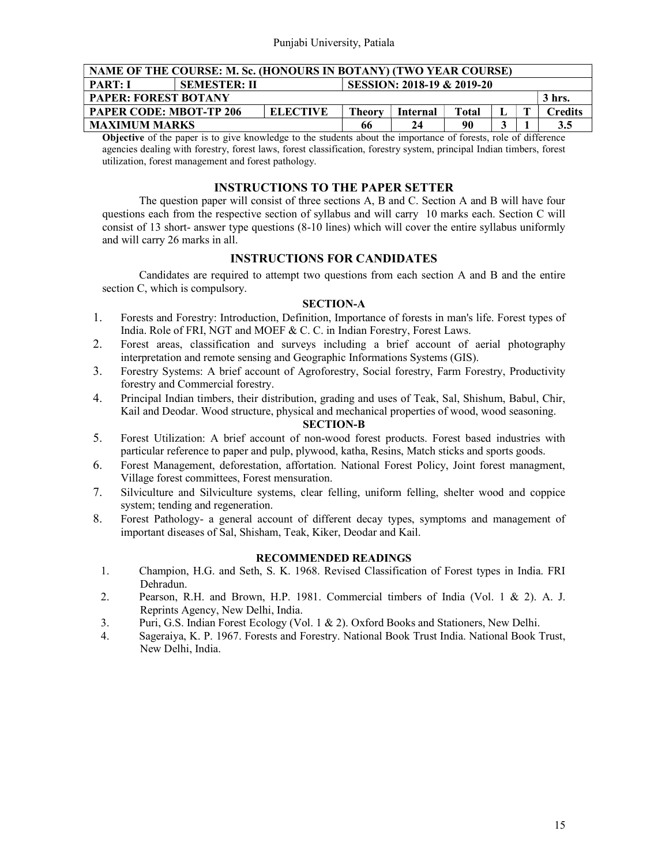| NAME OF THE COURSE: M. Sc. (HONOURS IN BOTANY) (TWO YEAR COURSE)                 |  |  |    |    |    |         |  |     |  |  |
|----------------------------------------------------------------------------------|--|--|----|----|----|---------|--|-----|--|--|
| <b>PART: I</b><br>SESSION: 2018-19 & 2019-20<br><b>SEMESTER: II</b>              |  |  |    |    |    |         |  |     |  |  |
| <b>PAPER: FOREST BOTANY</b><br>3 hrs.                                            |  |  |    |    |    |         |  |     |  |  |
| <b>ELECTIVE</b><br><b>PAPER CODE: MBOT-TP 206</b><br>Total<br>Theorv<br>Internal |  |  |    |    |    | Credits |  |     |  |  |
| <b>MAXIMUM MARKS</b>                                                             |  |  | 66 | 24 | 90 | ω       |  | 3.5 |  |  |

Objective of the paper is to give knowledge to the students about the importance of forests, role of difference agencies dealing with forestry, forest laws, forest classification, forestry system, principal Indian timbers, forest utilization, forest management and forest pathology.

### INSTRUCTIONS TO THE PAPER SETTER

 The question paper will consist of three sections A, B and C. Section A and B will have four questions each from the respective section of syllabus and will carry 10 marks each. Section C will consist of 13 short- answer type questions (8-10 lines) which will cover the entire syllabus uniformly and will carry 26 marks in all.

## INSTRUCTIONS FOR CANDIDATES

 Candidates are required to attempt two questions from each section A and B and the entire section C, which is compulsory.

### SECTION-A

- 1. Forests and Forestry: Introduction, Definition, Importance of forests in man's life. Forest types of India. Role of FRI, NGT and MOEF & C. C. in Indian Forestry, Forest Laws.
- 2. Forest areas, classification and surveys including a brief account of aerial photography interpretation and remote sensing and Geographic Informations Systems (GIS).
- 3. Forestry Systems: A brief account of Agroforestry, Social forestry, Farm Forestry, Productivity forestry and Commercial forestry.
- 4. Principal Indian timbers, their distribution, grading and uses of Teak, Sal, Shishum, Babul, Chir, Kail and Deodar. Wood structure, physical and mechanical properties of wood, wood seasoning.

### SECTION-B

- 5. Forest Utilization: A brief account of non-wood forest products. Forest based industries with particular reference to paper and pulp, plywood, katha, Resins, Match sticks and sports goods.
- 6. Forest Management, deforestation, affortation. National Forest Policy, Joint forest managment, Village forest committees, Forest mensuration.
- 7. Silviculture and Silviculture systems, clear felling, uniform felling, shelter wood and coppice system; tending and regeneration.
- 8. Forest Pathology- a general account of different decay types, symptoms and management of important diseases of Sal, Shisham, Teak, Kiker, Deodar and Kail.

- 1. Champion, H.G. and Seth, S. K. 1968. Revised Classification of Forest types in India. FRI Dehradun.
- 2. Pearson, R.H. and Brown, H.P. 1981. Commercial timbers of India (Vol. 1 & 2). A. J. Reprints Agency, New Delhi, India.
- 3. Puri, G.S. Indian Forest Ecology (Vol. 1 & 2). Oxford Books and Stationers, New Delhi.
- 4. Sageraiya, K. P. 1967. Forests and Forestry. National Book Trust India. National Book Trust, New Delhi, India.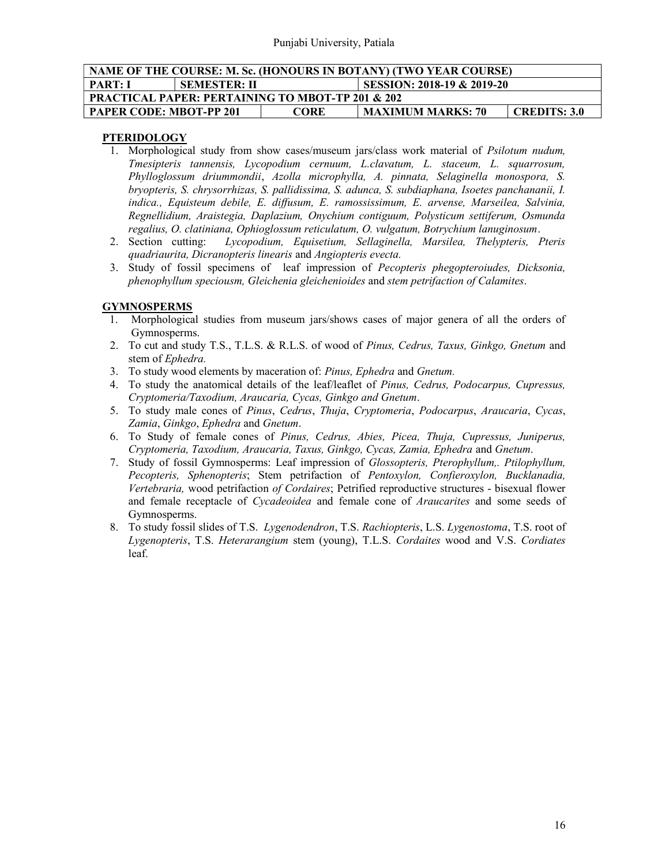| NAME OF THE COURSE: M. Sc. (HONOURS IN BOTANY) (TWO YEAR COURSE)    |  |  |                          |              |  |  |  |  |  |
|---------------------------------------------------------------------|--|--|--------------------------|--------------|--|--|--|--|--|
| SESSION: 2018-19 & 2019-20<br><b>PART: I</b><br><b>SEMESTER: II</b> |  |  |                          |              |  |  |  |  |  |
| <b>PRACTICAL PAPER: PERTAINING TO MBOT-TP 201 &amp; 202</b>         |  |  |                          |              |  |  |  |  |  |
| <b>PAPER CODE: MBOT-PP 201</b><br><b>CORE</b>                       |  |  | <b>MAXIMUM MARKS: 70</b> | CREDITS: 3.0 |  |  |  |  |  |

# PTERIDOLOGY

- 1. Morphological study from show cases/museum jars/class work material of Psilotum nudum, Tmesipteris tannensis, Lycopodium cernuum, L.clavatum, L. staceum, L. squarrosum, Phylloglossum driummondii, Azolla microphylla, A. pinnata, Selaginella monospora, S. bryopteris, S. chrysorrhizas, S. pallidissima, S. adunca, S. subdiaphana, Isoetes panchananii, I. indica., Equisteum debile, E. diffusum, E. ramossissimum, E. arvense, Marseilea, Salvinia, Regnellidium, Araistegia, Daplazium, Onychium contiguum, Polysticum settiferum, Osmunda regalius, O. clatiniana, Ophioglossum reticulatum, O. vulgatum, Botrychium lanuginosum.
- 2. Section cutting: Lycopodium, Equisetium, Sellaginella, Marsilea, Thelypteris, Pteris quadriaurita, Dicranopteris linearis and Angiopteris evecta.
- 3. Study of fossil specimens of leaf impression of Pecopteris phegopteroiudes, Dicksonia, phenophyllum speciousm, Gleichenia gleichenioides and stem petrifaction of Calamites.

## **GYMNOSPERMS**

- 1. Morphological studies from museum jars/shows cases of major genera of all the orders of Gymnosperms.
- 2. To cut and study T.S., T.L.S. & R.L.S. of wood of Pinus, Cedrus, Taxus, Ginkgo, Gnetum and stem of Ephedra.
- 3. To study wood elements by maceration of: Pinus, Ephedra and Gnetum.
- 4. To study the anatomical details of the leaf/leaflet of Pinus, Cedrus, Podocarpus, Cupressus, Cryptomeria/Taxodium, Araucaria, Cycas, Ginkgo and Gnetum.
- 5. To study male cones of Pinus, Cedrus, Thuja, Cryptomeria, Podocarpus, Araucaria, Cycas, Zamia, Ginkgo, Ephedra and Gnetum.
- 6. To Study of female cones of Pinus, Cedrus, Abies, Picea, Thuja, Cupressus, Juniperus, Cryptomeria, Taxodium, Araucaria, Taxus, Ginkgo, Cycas, Zamia, Ephedra and Gnetum.
- 7. Study of fossil Gymnosperms: Leaf impression of Glossopteris, Pterophyllum,. Ptilophyllum, Pecopteris, Sphenopteris; Stem petrifaction of Pentoxylon, Confieroxylon, Bucklanadia, Vertebraria, wood petrifaction of Cordaires; Petrified reproductive structures - bisexual flower and female receptacle of *Cycadeoidea* and female cone of *Araucarites* and some seeds of Gymnosperms.
- 8. To study fossil slides of T.S. Lygenodendron, T.S. Rachiopteris, L.S. Lygenostoma, T.S. root of Lygenopteris, T.S. Heterarangium stem (young), T.L.S. Cordaites wood and V.S. Cordiates leaf.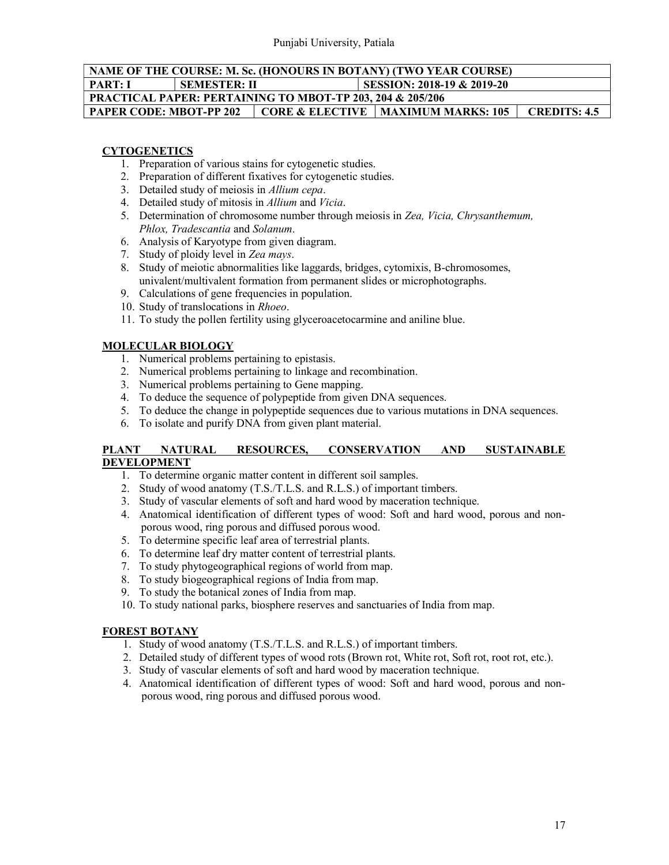## NAME OF THE COURSE: M. Sc. (HONOURS IN BOTANY) (TWO YEAR COURSE) PART: I SEMESTER: II SESSION: 2018-19 & 2019-20 PRACTICAL PAPER: PERTAINING TO MBOT-TP 203, 204 & 205/206 PAPER CODE: MBOT-PP 202 | CORE & ELECTIVE | MAXIMUM MARKS: 105 | CREDITS: 4.5

### **CYTOGENETICS**

- 1. Preparation of various stains for cytogenetic studies.
- 2. Preparation of different fixatives for cytogenetic studies.
- 3. Detailed study of meiosis in Allium cepa.
- 4. Detailed study of mitosis in Allium and Vicia.
- 5. Determination of chromosome number through meiosis in Zea, Vicia, Chrysanthemum, Phlox, Tradescantia and Solanum.
- 6. Analysis of Karyotype from given diagram.
- 7. Study of ploidy level in Zea mays.
- 8. Study of meiotic abnormalities like laggards, bridges, cytomixis, B-chromosomes, univalent/multivalent formation from permanent slides or microphotographs.
- 9. Calculations of gene frequencies in population.
- 10. Study of translocations in Rhoeo.
- 11. To study the pollen fertility using glyceroacetocarmine and aniline blue.

## MOLECULAR BIOLOGY

- 1. Numerical problems pertaining to epistasis.
- 2. Numerical problems pertaining to linkage and recombination.
- 3. Numerical problems pertaining to Gene mapping.
- 4. To deduce the sequence of polypeptide from given DNA sequences.
- 5. To deduce the change in polypeptide sequences due to various mutations in DNA sequences.
- 6. To isolate and purify DNA from given plant material.

### PLANT NATURAL RESOURCES, CONSERVATION AND SUSTAINABLE DEVELOPMENT

- 1. To determine organic matter content in different soil samples.
- 2. Study of wood anatomy (T.S./T.L.S. and R.L.S.) of important timbers.
- 3. Study of vascular elements of soft and hard wood by maceration technique.
- 4. Anatomical identification of different types of wood: Soft and hard wood, porous and nonporous wood, ring porous and diffused porous wood.
- 5. To determine specific leaf area of terrestrial plants.
- 6. To determine leaf dry matter content of terrestrial plants.
- 7. To study phytogeographical regions of world from map.
- 8. To study biogeographical regions of India from map.
- 9. To study the botanical zones of India from map.
- 10. To study national parks, biosphere reserves and sanctuaries of India from map.

## FOREST BOTANY

- 1. Study of wood anatomy (T.S./T.L.S. and R.L.S.) of important timbers.
- 2. Detailed study of different types of wood rots (Brown rot, White rot, Soft rot, root rot, etc.).
- 3. Study of vascular elements of soft and hard wood by maceration technique.
- 4. Anatomical identification of different types of wood: Soft and hard wood, porous and nonporous wood, ring porous and diffused porous wood.